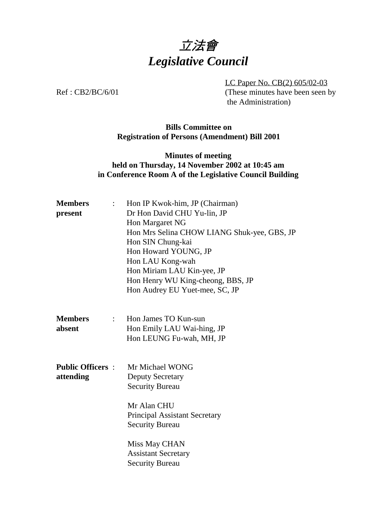# 立法會 *Legislative Council*

LC Paper No. CB(2) 605/02-03 Ref : CB2/BC/6/01 (These minutes have been seen by the Administration)

#### **Bills Committee on Registration of Persons (Amendment) Bill 2001**

### **Minutes of meeting held on Thursday, 14 November 2002 at 10:45 am in Conference Room A of the Legislative Council Building**

| <b>Members</b><br>$\mathbb{R}^{\mathbb{Z}}$<br>present | Hon IP Kwok-him, JP (Chairman)<br>Dr Hon David CHU Yu-lin, JP<br>Hon Margaret NG<br>Hon Mrs Selina CHOW LIANG Shuk-yee, GBS, JP<br>Hon SIN Chung-kai<br>Hon Howard YOUNG, JP<br>Hon LAU Kong-wah |  |  |
|--------------------------------------------------------|--------------------------------------------------------------------------------------------------------------------------------------------------------------------------------------------------|--|--|
|                                                        | Hon Miriam LAU Kin-yee, JP<br>Hon Henry WU King-cheong, BBS, JP<br>Hon Audrey EU Yuet-mee, SC, JP                                                                                                |  |  |
| <b>Members</b><br>$\ddot{\cdot}$<br>absent             | Hon James TO Kun-sun<br>Hon Emily LAU Wai-hing, JP<br>Hon LEUNG Fu-wah, MH, JP                                                                                                                   |  |  |
| <b>Public Officers:</b><br>attending                   | Mr Michael WONG<br><b>Deputy Secretary</b><br><b>Security Bureau</b><br>Mr Alan CHU<br><b>Principal Assistant Secretary</b><br><b>Security Bureau</b>                                            |  |  |
|                                                        | Miss May CHAN<br><b>Assistant Secretary</b><br><b>Security Bureau</b>                                                                                                                            |  |  |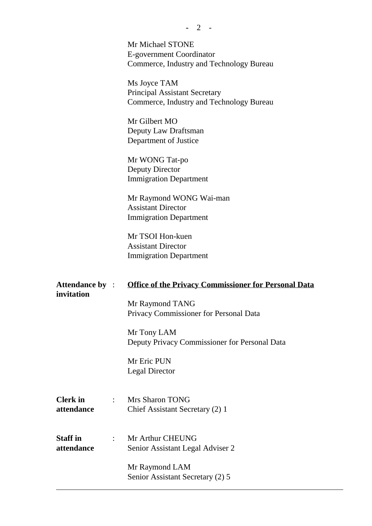|                                      |                           | Mr Michael STONE<br>E-government Coordinator<br>Commerce, Industry and Technology Bureau         |
|--------------------------------------|---------------------------|--------------------------------------------------------------------------------------------------|
|                                      |                           | Ms Joyce TAM<br><b>Principal Assistant Secretary</b><br>Commerce, Industry and Technology Bureau |
|                                      |                           | Mr Gilbert MO<br>Deputy Law Draftsman<br>Department of Justice                                   |
|                                      |                           | Mr WONG Tat-po<br><b>Deputy Director</b><br><b>Immigration Department</b>                        |
|                                      |                           | Mr Raymond WONG Wai-man<br><b>Assistant Director</b><br><b>Immigration Department</b>            |
|                                      |                           | Mr TSOI Hon-kuen<br><b>Assistant Director</b><br><b>Immigration Department</b>                   |
| <b>Attendance by :</b><br>invitation |                           | <b>Office of the Privacy Commissioner for Personal Data</b>                                      |
|                                      |                           | Mr Raymond TANG<br>Privacy Commissioner for Personal Data                                        |
|                                      |                           | Mr Tony LAM<br>Deputy Privacy Commissioner for Personal Data                                     |
|                                      |                           | Mr Eric PUN<br><b>Legal Director</b>                                                             |
| <b>Clerk</b> in<br>attendance        |                           | <b>Mrs Sharon TONG</b><br>Chief Assistant Secretary (2) 1                                        |
|                                      |                           |                                                                                                  |
| <b>Staff</b> in<br>attendance        | $\mathbb{R}^{\mathbb{Z}}$ | Mr Arthur CHEUNG<br>Senior Assistant Legal Adviser 2                                             |

 $\overline{a}$ 

**-** 2 -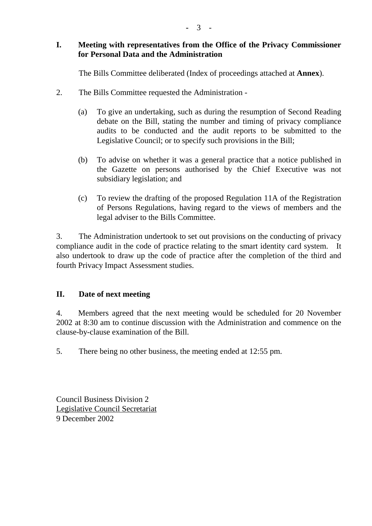#### **I. Meeting with representatives from the Office of the Privacy Commissioner for Personal Data and the Administration**

The Bills Committee deliberated (Index of proceedings attached at **Annex**).

- 2. The Bills Committee requested the Administration
	- (a) To give an undertaking, such as during the resumption of Second Reading debate on the Bill, stating the number and timing of privacy compliance audits to be conducted and the audit reports to be submitted to the Legislative Council; or to specify such provisions in the Bill;
	- (b) To advise on whether it was a general practice that a notice published in the Gazette on persons authorised by the Chief Executive was not subsidiary legislation; and
	- (c) To review the drafting of the proposed Regulation 11A of the Registration of Persons Regulations, having regard to the views of members and the legal adviser to the Bills Committee.

3. The Administration undertook to set out provisions on the conducting of privacy compliance audit in the code of practice relating to the smart identity card system. It also undertook to draw up the code of practice after the completion of the third and fourth Privacy Impact Assessment studies.

#### **II. Date of next meeting**

4. Members agreed that the next meeting would be scheduled for 20 November 2002 at 8:30 am to continue discussion with the Administration and commence on the clause-by-clause examination of the Bill.

5. There being no other business, the meeting ended at 12:55 pm.

Council Business Division 2 Legislative Council Secretariat 9 December 2002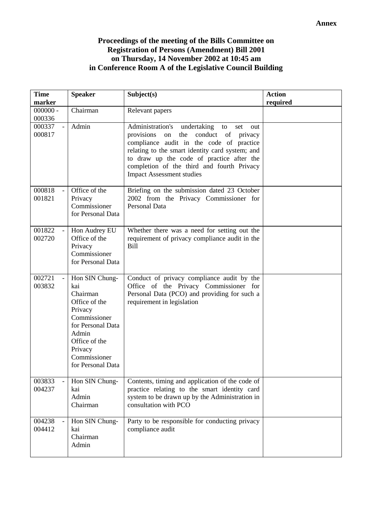#### **Proceedings of the meeting of the Bills Committee on Registration of Persons (Amendment) Bill 2001 on Thursday, 14 November 2002 at 10:45 am in Conference Room A of the Legislative Council Building**

| <b>Time</b><br>marker | <b>Speaker</b>                                                                                                                                                               | Subject(s)                                                                                                                                                                                                                                                                                                                               | <b>Action</b><br>required |
|-----------------------|------------------------------------------------------------------------------------------------------------------------------------------------------------------------------|------------------------------------------------------------------------------------------------------------------------------------------------------------------------------------------------------------------------------------------------------------------------------------------------------------------------------------------|---------------------------|
| $000000 -$<br>000336  | Chairman                                                                                                                                                                     | Relevant papers                                                                                                                                                                                                                                                                                                                          |                           |
| 000337<br>000817      | Admin                                                                                                                                                                        | Administration's<br>undertaking<br>to<br>set<br>out<br>provisions<br>conduct<br>of<br>the<br>privacy<br>on<br>compliance audit in the code of practice<br>relating to the smart identity card system; and<br>to draw up the code of practice after the<br>completion of the third and fourth Privacy<br><b>Impact Assessment studies</b> |                           |
| 000818<br>001821      | Office of the<br>Privacy<br>Commissioner<br>for Personal Data                                                                                                                | Briefing on the submission dated 23 October<br>2002 from the Privacy Commissioner for<br>Personal Data                                                                                                                                                                                                                                   |                           |
| 001822<br>002720      | Hon Audrey EU<br>Office of the<br>Privacy<br>Commissioner<br>for Personal Data                                                                                               | Whether there was a need for setting out the<br>requirement of privacy compliance audit in the<br><b>Bill</b>                                                                                                                                                                                                                            |                           |
| 002721<br>003832      | Hon SIN Chung-<br>kai<br>Chairman<br>Office of the<br>Privacy<br>Commissioner<br>for Personal Data<br>Admin<br>Office of the<br>Privacy<br>Commissioner<br>for Personal Data | Conduct of privacy compliance audit by the<br>Office of the Privacy Commissioner for<br>Personal Data (PCO) and providing for such a<br>requirement in legislation                                                                                                                                                                       |                           |
| 003833<br>004237      | Hon SIN Chung-<br>kai<br>Admin<br>Chairman                                                                                                                                   | Contents, timing and application of the code of<br>practice relating to the smart identity card<br>system to be drawn up by the Administration in<br>consultation with PCO                                                                                                                                                               |                           |
| 004238<br>004412      | Hon SIN Chung-<br>kai<br>Chairman<br>Admin                                                                                                                                   | Party to be responsible for conducting privacy<br>compliance audit                                                                                                                                                                                                                                                                       |                           |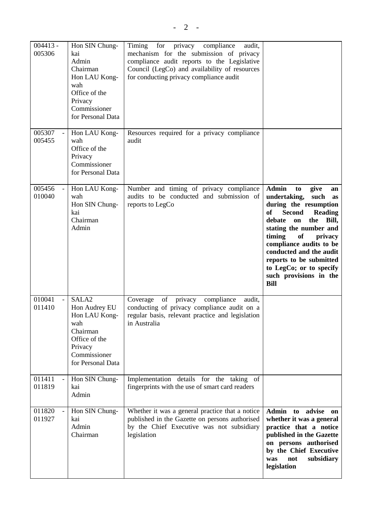$004413 -$ 005306 Hon SIN Chungkai Admin Chairman Hon LAU Kongwah Office of the Privacy Commissioner for Personal Data Timing for privacy compliance audit, mechanism for the submission of privacy compliance audit reports to the Legislative Council (LegCo) and availability of resources for conducting privacy compliance audit 005307 005455 Hon LAU Kongwah Office of the Privacy Commissioner for Personal Data Resources required for a privacy compliance audit  $005456$ 010040 Hon LAU Kongwah Hon SIN Chungkai Chairman Admin Number and timing of privacy compliance audits to be conducted and submission of reports to LegCo **Admin to give an undertaking, such as during the resumption of Second Reading debate on the Bill, stating the number and timing of privacy compliance audits to be conducted and the audit reports to be submitted to LegCo; or to specify such provisions in the Bill** 010041 011410 SALA2 Hon Audrey EU Hon LAU Kongwah Chairman Office of the Privacy Commissioner for Personal Data Coverage of privacy compliance audit, conducting of privacy compliance audit on a regular basis, relevant practice and legislation in Australia 011411 - 011819 Hon SIN Chungkai Admin Implementation details for the taking of fingerprints with the use of smart card readers 011820 011927 Hon SIN Chungkai Admin Chairman Whether it was a general practice that a notice published in the Gazette on persons authorised by the Chief Executive was not subsidiary legislation **Admin to advise on whether it was a general practice that a notice published in the Gazette on persons authorised by the Chief Executive was not subsidiary legislation**